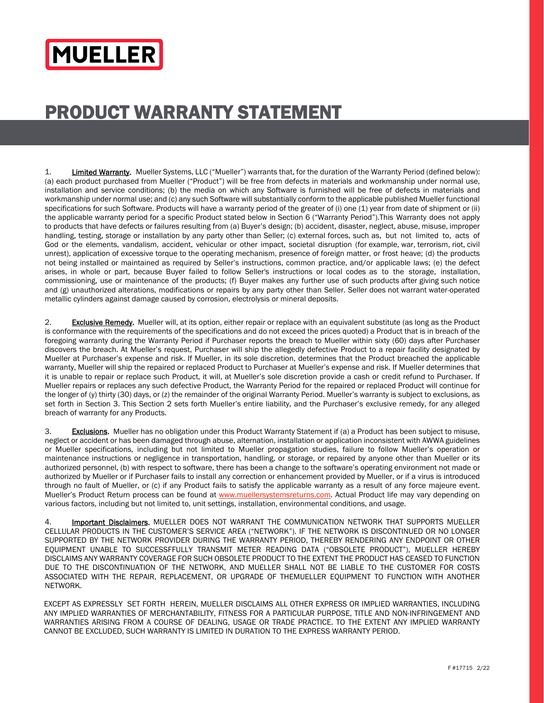## **MUELLER**

## PRODUCT WARRANTY STATEMENT

1. Limited Warranty. Mueller Systems, LLC ("Mueller") warrants that, for the duration of the Warranty Period (defined below): (a) each product purchased from Mueller ("Product") will be free from defects in materials and workmanship under normal use, installation and service conditions; (b) the media on which any Software is furnished will be free of defects in materials and workmanship under normal use; and (c) any such Software will substantially conform to the applicable published Mueller functional specifications for such Software. Products will have a warranty period of the greater of (i) one (1) year from date of shipment or (ii) the applicable warranty period for a specific Product stated below in Section 6 ("Warranty Period").This Warranty does not apply to products that have defects or failures resulting from (a) Buyer's design; (b) accident, disaster, neglect, abuse, misuse, improper handling, testing, storage or installation by any party other than Seller; (c) external forces, such as, but not limited to, acts of God or the elements, vandalism, accident, vehicular or other impact, societal disruption (for example, war, terrorism, riot, civil unrest), application of excessive torque to the operating mechanism, presence of foreign matter, or frost heave; (d) the products not being installed or maintained as required by Seller's instructions, common practice, and/or applicable laws; (e) the defect arises, in whole or part, because Buyer failed to follow Seller's instructions or local codes as to the storage, installation, commissioning, use or maintenance of the products; (f) Buyer makes any further use of such products after giving such notice and (g) unauthorized alterations, modifications or repairs by any party other than Seller. Seller does not warrant water-operated metallic cylinders against damage caused by corrosion, electrolysis or mineral deposits.

2. Exclusive Remedy. Mueller will, at its option, either repair or replace with an equivalent substitute (as long as the Product is conformance with the requirements of the specifications and do not exceed the prices quoted) a Product that is in breach of the foregoing warranty during the Warranty Period if Purchaser reports the breach to Mueller within sixty (60) days after Purchaser discovers the breach. At Mueller's request, Purchaser will ship the allegedly defective Product to a repair facility designated by Mueller at Purchaser's expense and risk. If Mueller, in its sole discretion, determines that the Product breached the applicable warranty, Mueller will ship the repaired or replaced Product to Purchaser at Mueller's expense and risk. If Mueller determines that it is unable to repair or replace such Product, it will, at Mueller's sole discretion provide a cash or credit refund to Purchaser. If Mueller repairs or replaces any such defective Product, the Warranty Period for the repaired or replaced Product will continue for the longer of (y) thirty (30) days, or (z) the remainder of the original Warranty Period. Mueller's warranty is subject to exclusions, as set forth in Section 3. This Section 2 sets forth Mueller's entire liability, and the Purchaser's exclusive remedy, for any alleged breach of warranty for any Products.

3. Exclusions. Mueller has no obligation under this Product Warranty Statement if (a) a Product has been subject to misuse, neglect or accident or has been damaged through abuse, alternation, installation or application inconsistent with AWWA guidelines or Mueller specifications, including but not limited to Mueller propagation studies, failure to follow Mueller's operation or maintenance instructions or negligence in transportation, handling, or storage, or repaired by anyone other than Mueller or its authorized personnel, (b) with respect to software, there has been a change to the software's operating environment not made or authorized by Mueller or if Purchaser fails to install any correction or enhancement provided by Mueller, or if a virus is introduced through no fault of Mueller, or (c) if any Product fails to satisfy the applicable warranty as a result of any force majeure event. Mueller's Product Return process can be found at www.muellersystemsreturns.com. Actual Product life may vary depending on various factors, including but not limited to, unit settings, installation, environmental conditions, and usage.

4. Important Disclaimers. MUELLER DOES NOT WARRANT THE COMMUNICATION NETWORK THAT SUPPORTS MUELLER CELLULAR PRODUCTS IN THE CUSTOMER'S SERVICE AREA ("NETWORK"). IF THE NETWORK IS DISCONTINUED OR NO LONGER SUPPORTED BY THE NETWORK PROVIDER DURING THE WARRANTY PERIOD, THEREBY RENDERING ANY ENDPOINT OR OTHER EQUIPMENT UNABLE TO SUCCESSFFULLY TRANSMIT METER READING DATA ("OBSOLETE PRODUCT"), MUELLER HEREBY DISCLAIMS ANY WARRANTY COVERAGE FOR SUCH OBSOLETE PRODUCT TO THE EXTENT THE PRODUCT HAS CEASED TO FUNCTION DUE TO THE DISCONTINUATION OF THE NETWORK, AND MUELLER SHALL NOT BE LIABLE TO THE CUSTOMER FOR COSTS ASSOCIATED WITH THE REPAIR, REPLACEMENT, OR UPGRADE OF THEMUELLER EQUIPMENT TO FUNCTION WITH ANOTHER NETWORK.

EXCEPT AS EXPRESSLY SET FORTH HEREIN, MUELLER DISCLAIMS ALL OTHER EXPRESS OR IMPLIED WARRANTIES, INCLUDING ANY IMPLIED WARRANTIES OF MERCHANTABILITY, FITNESS FOR A PARTICULAR PURPOSE, TITLE AND NON-INFRINGEMENT AND WARRANTIES ARISING FROM A COURSE OF DEALING, USAGE OR TRADE PRACTICE. TO THE EXTENT ANY IMPLIED WARRANTY CANNOT BE EXCLUDED, SUCH WARRANTY IS LIMITED IN DURATION TO THE EXPRESS WARRANTY PERIOD.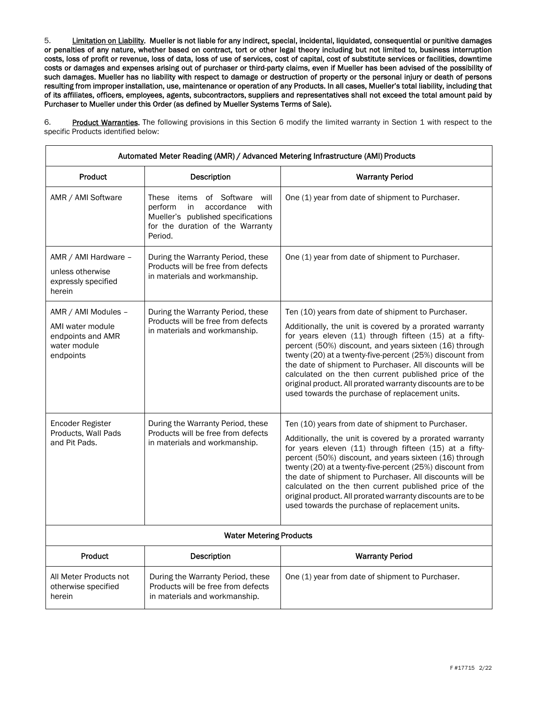5. Limitation on Liability. Mueller is not liable for any indirect, special, incidental, liquidated, consequential or punitive damages or penalties of any nature, whether based on contract, tort or other legal theory including but not limited to, business interruption costs, loss of profit or revenue, loss of data, loss of use of services, cost of capital, cost of substitute services or facilities, downtime costs or damages and expenses arising out of purchaser or third-party claims, even if Mueller has been advised of the possibility of such damages. Mueller has no liability with respect to damage or destruction of property or the personal injury or death of persons resulting from improper installation, use, maintenance or operation of any Products. In all cases, Mueller's total liability, including that of its affiliates, officers, employees, agents, subcontractors, suppliers and representatives shall not exceed the total amount paid by Purchaser to Mueller under this Order (as defined by Mueller Systems Terms of Sale).

6. Product Warranties. The following provisions in this Section 6 modify the limited warranty in Section 1 with respect to the specific Products identified below:

| Automated Meter Reading (AMR) / Advanced Metering Infrastructure (AMI) Products           |                                                                                                                                                             |                                                                                                                                                                                                                                                                                                                                                                                                                                                                                                                                       |  |  |
|-------------------------------------------------------------------------------------------|-------------------------------------------------------------------------------------------------------------------------------------------------------------|---------------------------------------------------------------------------------------------------------------------------------------------------------------------------------------------------------------------------------------------------------------------------------------------------------------------------------------------------------------------------------------------------------------------------------------------------------------------------------------------------------------------------------------|--|--|
| Product                                                                                   | Description                                                                                                                                                 | <b>Warranty Period</b>                                                                                                                                                                                                                                                                                                                                                                                                                                                                                                                |  |  |
| AMR / AMI Software                                                                        | of Software will<br>These items<br>perform<br>accordance<br>in<br>with<br>Mueller's published specifications<br>for the duration of the Warranty<br>Period. | One (1) year from date of shipment to Purchaser.                                                                                                                                                                                                                                                                                                                                                                                                                                                                                      |  |  |
| AMR / AMI Hardware -<br>unless otherwise<br>expressly specified<br>herein                 | During the Warranty Period, these<br>Products will be free from defects<br>in materials and workmanship.                                                    | One (1) year from date of shipment to Purchaser.                                                                                                                                                                                                                                                                                                                                                                                                                                                                                      |  |  |
| AMR / AMI Modules -<br>AMI water module<br>endpoints and AMR<br>water module<br>endpoints | During the Warranty Period, these<br>Products will be free from defects<br>in materials and workmanship.                                                    | Ten (10) years from date of shipment to Purchaser.<br>Additionally, the unit is covered by a prorated warranty<br>for years eleven (11) through fifteen (15) at a fifty-<br>percent (50%) discount, and years sixteen (16) through<br>twenty (20) at a twenty-five-percent (25%) discount from<br>the date of shipment to Purchaser. All discounts will be<br>calculated on the then current published price of the<br>original product. All prorated warranty discounts are to be<br>used towards the purchase of replacement units. |  |  |
| Encoder Register<br>Products, Wall Pads<br>and Pit Pads.                                  | During the Warranty Period, these<br>Products will be free from defects<br>in materials and workmanship.                                                    | Ten (10) years from date of shipment to Purchaser.<br>Additionally, the unit is covered by a prorated warranty<br>for years eleven (11) through fifteen (15) at a fifty-<br>percent (50%) discount, and years sixteen (16) through<br>twenty (20) at a twenty-five-percent (25%) discount from<br>the date of shipment to Purchaser. All discounts will be<br>calculated on the then current published price of the<br>original product. All prorated warranty discounts are to be<br>used towards the purchase of replacement units. |  |  |
| <b>Water Metering Products</b>                                                            |                                                                                                                                                             |                                                                                                                                                                                                                                                                                                                                                                                                                                                                                                                                       |  |  |
| <b>Product</b>                                                                            | <b>Description</b>                                                                                                                                          | <b>Warranty Period</b>                                                                                                                                                                                                                                                                                                                                                                                                                                                                                                                |  |  |
| All Meter Products not<br>otherwise specified<br>herein                                   | During the Warranty Period, these<br>Products will be free from defects<br>in materials and workmanship.                                                    | One (1) year from date of shipment to Purchaser.                                                                                                                                                                                                                                                                                                                                                                                                                                                                                      |  |  |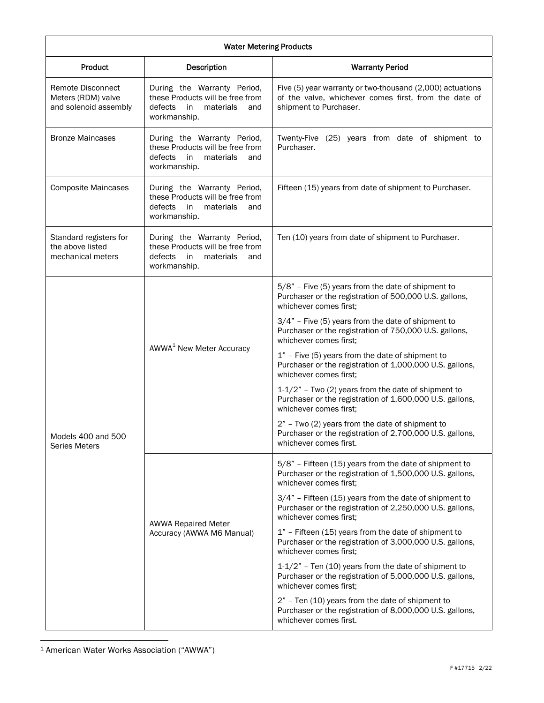| <b>Water Metering Products</b>                                          |                                                                                                                      |                                                                                                                                                |  |
|-------------------------------------------------------------------------|----------------------------------------------------------------------------------------------------------------------|------------------------------------------------------------------------------------------------------------------------------------------------|--|
| Product                                                                 | Description                                                                                                          | <b>Warranty Period</b>                                                                                                                         |  |
| <b>Remote Disconnect</b><br>Meters (RDM) valve<br>and solenoid assembly | During the Warranty Period,<br>these Products will be free from<br>defects<br>in<br>materials<br>and<br>workmanship. | Five (5) year warranty or two-thousand (2,000) actuations<br>of the valve, whichever comes first, from the date of<br>shipment to Purchaser.   |  |
| <b>Bronze Maincases</b>                                                 | During the Warranty Period,<br>these Products will be free from<br>defects<br>in<br>materials<br>and<br>workmanship. | Twenty-Five (25) years from date of shipment to<br>Purchaser.                                                                                  |  |
| <b>Composite Maincases</b>                                              | During the Warranty Period,<br>these Products will be free from<br>defects<br>in<br>materials<br>and<br>workmanship. | Fifteen (15) years from date of shipment to Purchaser.                                                                                         |  |
| Standard registers for<br>the above listed<br>mechanical meters         | During the Warranty Period,<br>these Products will be free from<br>defects<br>in<br>materials<br>and<br>workmanship. | Ten (10) years from date of shipment to Purchaser.                                                                                             |  |
| Models 400 and 500<br>Series Meters                                     | AWWA <sup>1</sup> New Meter Accuracy                                                                                 | 5/8" - Five (5) years from the date of shipment to<br>Purchaser or the registration of 500,000 U.S. gallons,<br>whichever comes first;         |  |
|                                                                         |                                                                                                                      | $3/4"$ - Five (5) years from the date of shipment to<br>Purchaser or the registration of 750,000 U.S. gallons,<br>whichever comes first;       |  |
|                                                                         |                                                                                                                      | 1" - Five (5) years from the date of shipment to<br>Purchaser or the registration of 1,000,000 U.S. gallons,<br>whichever comes first;         |  |
|                                                                         |                                                                                                                      | $1-1/2$ " - Two (2) years from the date of shipment to<br>Purchaser or the registration of 1,600,000 U.S. gallons,<br>whichever comes first;   |  |
|                                                                         |                                                                                                                      | 2" - Two (2) years from the date of shipment to<br>Purchaser or the registration of 2,700,000 U.S. gallons,<br>whichever comes first.          |  |
|                                                                         | <b>AWWA Repaired Meter</b><br>Accuracy (AWWA M6 Manual)                                                              | 5/8" - Fifteen (15) years from the date of shipment to<br>Purchaser or the registration of 1,500,000 U.S. gallons,<br>whichever comes first;   |  |
|                                                                         |                                                                                                                      | $3/4"$ - Fifteen (15) years from the date of shipment to<br>Purchaser or the registration of 2,250,000 U.S. gallons,<br>whichever comes first; |  |
|                                                                         |                                                                                                                      | $1"$ - Fifteen (15) years from the date of shipment to<br>Purchaser or the registration of 3,000,000 U.S. gallons,<br>whichever comes first;   |  |
|                                                                         |                                                                                                                      | $1-1/2"$ - Ten (10) years from the date of shipment to<br>Purchaser or the registration of 5,000,000 U.S. gallons,<br>whichever comes first;   |  |
|                                                                         |                                                                                                                      | 2" - Ten (10) years from the date of shipment to<br>Purchaser or the registration of 8,000,000 U.S. gallons,<br>whichever comes first.         |  |